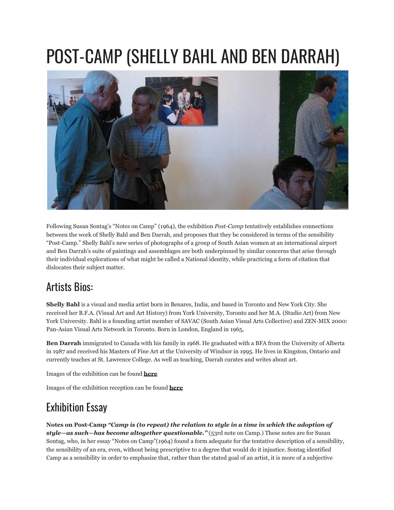## POST-CAMP (SHELLY BAHL AND BEN DARRAH)



Following Susan Sontag's "Notes on Camp" (1964), the exhibition *Post-Camp* tentatively establishes connections between the work of Shelly Bahl and Ben Darrah, and proposes that they be considered in terms of the sensibility "Post-Camp." Shelly Bahl's new series of photographs of a group of South Asian women at an international airport and Ben Darrah's suite of paintings and assemblages are both underpinned by similar concerns that arise through their individual explorations of what might be called a National identity, while practicing a form of citation that dislocates their subject matter.

## Artists Bios:

**Shelly Bahl** is a visual and media artist born in Benares, India, and based in Toronto and New York City. She received her B.F.A. (Visual Art and Art History) from York University, Toronto and her M.A. (Studio Art) from New York University. Bahl is a founding artist member of SAVAC (South Asian Visual Arts Collective) and ZEN-MIX 2000: Pan-Asian Visual Arts Network in Toronto. Born in London, England in 1965,

**Ben Darrah** immigrated to Canada with his family in 1968. He graduated with a BFA from the University of Alberta in 1987 and received his Masters of Fine Art at the University of Windsor in 1995. He lives in Kingston, Ontario and currently teaches at St. Lawrence College. As well as teaching, Darrah curates and writes about art.

Images of the exhibition can be found **[here](http://www.flickr.com/photos/modernfuel/sets/72157600374473735/)**

Images of the exhibition reception can be found **[here](http://www.flickr.com/photos/modernfuel/sets/72157600390631125/)**

## Exhibition Essay

**Notes on Post-Camp** *"Camp is (to repeat) the relation to style in a time in which the adoption of style—as such—has become altogether questionable."* (53rd note on Camp.) These notes are for Susan Sontag, who, in her essay "Notes on Camp"(1964) found a form adequate for the tentative description of a sensibility, the sensibility of an era, even, without being prescriptive to a degree that would do it injustice. Sontag identified Camp as a sensibility in order to emphasize that, rather than the stated goal of an artist, it is more of a subjective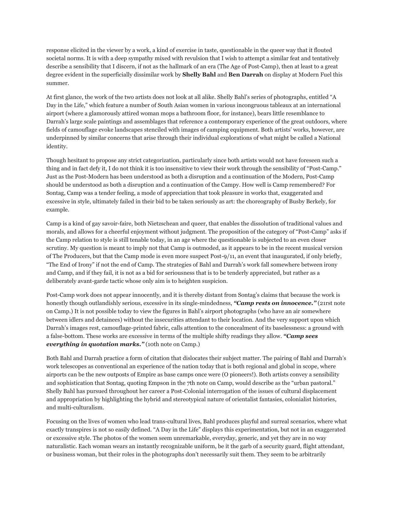response elicited in the viewer by a work, a kind of exercise in taste, questionable in the queer way that it flouted societal norms. It is with a deep sympathy mixed with revulsion that I wish to attempt a similar feat and tentatively describe a sensibility that I discern, if not as the hallmark of an era (The Age of Post-Camp), then at least to a great degree evident in the superficially dissimilar work by **Shelly Bahl** and **Ben Darrah** on display at Modern Fuel this summer.

At first glance, the work of the two artists does not look at all alike. Shelly Bahl's series of photographs, entitled "A Day in the Life," which feature a number of South Asian women in various incongruous tableaux at an international airport (where a glamorously attired woman mops a bathroom floor, for instance), bears little resemblance to Darrah's large scale paintings and assemblages that reference a contemporary experience of the great outdoors, where fields of camouflage evoke landscapes stenciled with images of camping equipment. Both artists' works, however, are underpinned by similar concerns that arise through their individual explorations of what might be called a National identity.

Though hesitant to propose any strict categorization, particularly since both artists would not have foreseen such a thing and in fact defy it, I do not think it is too insensitive to view their work through the sensibility of "Post-Camp." Just as the Post-Modern has been understood as both a disruption and a continuation of the Modern, Post-Camp should be understood as both a disruption and a continuation of the Campy. How well is Camp remembered? For Sontag, Camp was a tender feeling, a mode of appreciation that took pleasure in works that, exaggerated and excessive in style, ultimately failed in their bid to be taken seriously as art: the choreography of Busby Berkely, for example.

Camp is a kind of gay savoir-faire, both Nietzschean and queer, that enables the dissolution of traditional values and morals, and allows for a cheerful enjoyment without judgment. The proposition of the category of "Post-Camp" asks if the Camp relation to style is still tenable today, in an age where the questionable is subjected to an even closer scrutiny. My question is meant to imply not that Camp is outmoded, as it appears to be in the recent musical version of The Producers, but that the Camp mode is even more suspect Post-9/11, an event that inaugurated, if only briefly, "The End of Irony" if not the end of Camp. The strategies of Bahl and Darrah's work fall somewhere between irony and Camp, and if they fail, it is not as a bid for seriousness that is to be tenderly appreciated, but rather as a deliberately avant-garde tactic whose only aim is to heighten suspicion.

Post-Camp work does not appear innocently, and it is thereby distant from Sontag's claims that because the work is honestly though outlandishly serious, excessive in its single-mindedness, "Camp rests on *innocence.*" (21rst note on Camp.) It is not possible today to view the figures in Bahl's airport photographs (who have an air somewhere between idlers and detainees) without the insecurities attendant to their location. And the very support upon which Darrah's images rest, camouflage-printed fabric, calls attention to the concealment of its baselessness: a ground with a false-bottom. These works are excessive in terms of the multiple shifty readings they allow. *"Camp sees everything in quotation marks."* (10th note on Camp.)

Both Bahl and Darrah practice a form of citation that dislocates their subject matter. The pairing of Bahl and Darrah's work telescopes as conventional an experience of the nation today that is both regional and global in scope, where airports can be the new outposts of Empire as base camps once were (O pioneers!). Both artists convey a sensibility and sophistication that Sontag, quoting Empson in the 7th note on Camp, would describe as the "urban pastoral." Shelly Bahl has pursued throughout her career a Post-Colonial interrogation of the issues of cultural displacement and appropriation by highlighting the hybrid and stereotypical nature of orientalist fantasies, colonialist histories, and multi-culturalism.

Focusing on the lives of women who lead trans-cultural lives, Bahl produces playful and surreal scenarios, where what exactly transpires is not so easily defined. "A Day in the Life" displays this experimentation, but not in an exaggerated or excessive style. The photos of the women seem unremarkable, everyday, generic, and yet they are in no way naturalistic. Each woman wears an instantly recognizable uniform, be it the garb of a security guard, flight attendant, or business woman, but their roles in the photographs don't necessarily suit them. They seem to be arbitrarily